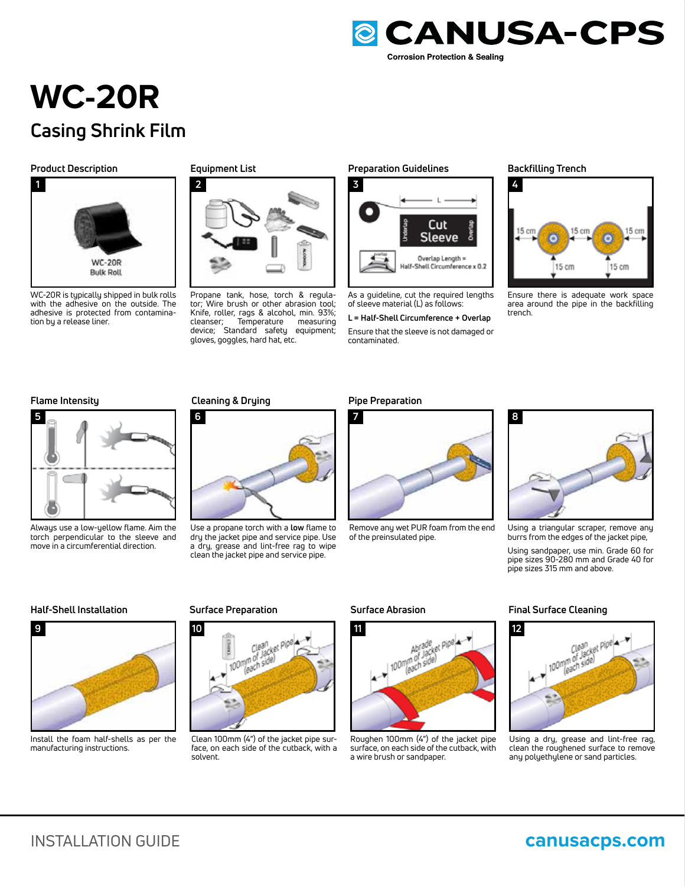

# **WC-20R Casing Shrink Film**

### **Product Description**



WC-20R is typically shipped in bulk rolls with the adhesive on the outside. The adhesive is protected from contamination by a release liner.

**Equipment List**



Propane tank, hose, torch & regulator; Wire brush or other abrasion tool; Knife, roller, rags & alcohol, min. 93%; cleanser; Temperature measuring device; Standard safety equipment; gloves, goggles, hard hat, etc.

# **Preparation Guidelines Backfilling Trench**



As a guideline, cut the required lengths of sleeve material (L) as follows:

### **L = Half-Shell Circumference + Overlap**

Ensure that the sleeve is not damaged or contaminated.



Ensure there is adequate work space area around the pipe in the backfilling trench.



Always use a low-yellow flame. Aim the torch perpendicular to the sleeve and move in a circumferential direction.

## **Flame Intensity Pipe Preparation Cleaning & Drying**



Use a propane torch with a **low** flame to dry the jacket pipe and service pipe. Use a dry, grease and lint-free rag to wipe clean the jacket pipe and service pipe.





Remove any wet PUR foam from the end of the preinsulated pipe.



Using a triangular scraper, remove any burrs from the edges of the jacket pipe,

Using sandpaper, use min. Grade 60 for pipe sizes 90-280 mm and Grade 40 for pipe sizes 315 mm and above.

# **Half-Shell Installation Surface Preparation Surface Abrasion Final Surface Cleaning**



Install the foam half-shells as per the manufacturing instructions.



Clean 100mm (4") of the jacket pipe surface, on each side of the cutback, with a solvent.



Roughen 100mm (4") of the jacket pipe surface, on each side of the cutback, with a wire brush or sandpaper.



Using a dry, grease and lint-free rag, clean the roughened surface to remove any polyethylene or sand particles.